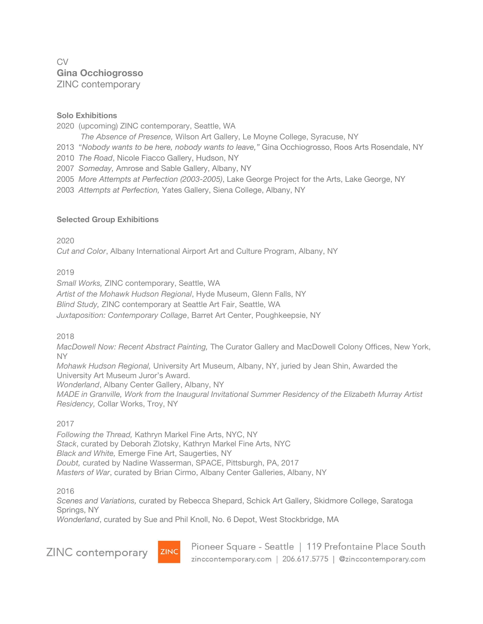# CV **Gina Occhiogrosso** ZINC contemporary

## **Solo Exhibitions**

2020 (upcoming) ZINC contemporary, Seattle, WA

*The Absence of Presence,* Wilson Art Gallery, Le Moyne College, Syracuse, NY

2013 "*Nobody wants to be here, nobody wants to leave,"* Gina Occhiogrosso, Roos Arts Rosendale, NY

2010 *The Road*, Nicole Fiacco Gallery, Hudson, NY

2007 *Someday,* Amrose and Sable Gallery, Albany, NY

- 2005 *More Attempts at Perfection (2003-2005)*, Lake George Project for the Arts, Lake George, NY
- 2003 *Attempts at Perfection,* Yates Gallery, Siena College, Albany, NY

### **Selected Group Exhibitions**

2020

*Cut and Color*, Albany International Airport Art and Culture Program, Albany, NY

2019

*Small Works,* ZINC contemporary, Seattle, WA *Artist of the Mohawk Hudson Regional*, Hyde Museum, Glenn Falls, NY *Blind Study,* ZINC contemporary at Seattle Art Fair, Seattle, WA *Juxtaposition: Contemporary Collage*, Barret Art Center, Poughkeepsie, NY

2018

*MacDowell Now: Recent Abstract Painting,* The Curator Gallery and MacDowell Colony Offices, New York, NY

*Mohawk Hudson Regional,* University Art Museum, Albany, NY, juried by Jean Shin, Awarded the University Art Museum Juror's Award.

*Wonderland*, Albany Center Gallery, Albany, NY

*MADE in Granville, Work from the Inaugural Invitational Summer Residency of the Elizabeth Murray Artist Residency,* Collar Works, Troy, NY

### 2017

*Following the Thread,* Kathryn Markel Fine Arts, NYC, NY *Stack*, curated by Deborah Zlotsky, Kathryn Markel Fine Arts, NYC *Black and White,* Emerge Fine Art, Saugerties, NY *Doubt,* curated by Nadine Wasserman, SPACE, Pittsburgh, PA, 2017 *Masters of War*, curated by Brian Cirmo, Albany Center Galleries, Albany, NY

2016

*Scenes and Variations,* curated by Rebecca Shepard, Schick Art Gallery, Skidmore College, Saratoga Springs, NY

*Wonderland*, curated by Sue and Phil Knoll, No. 6 Depot, West Stockbridge, MA

ZINC contemporary



Pioneer Square - Seattle | 119 Prefontaine Place South zinccontemporary.com | 206.617.5775 | @zinccontemporary.com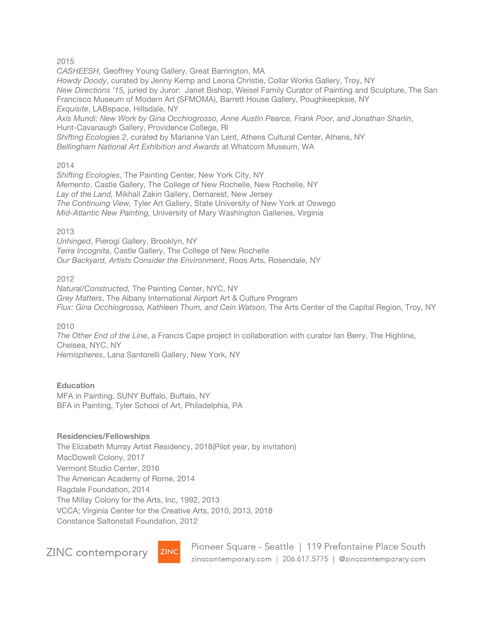2015

*CASHEESH,* Geoffrey Young Gallery, Great Barrington, MA *Howdy Doody*, curated by Jenny Kemp and Leona Christie, Collar Works Gallery, Troy, NY *New Directions '15,* juried by Juror: Janet Bishop, Weisel Family Curator of Painting and Sculpture, The San Francisco Museum of Modern Art (SFMOMA), Barrett House Gallery, Poughkeepksie, NY *Exquisite*, LABspace, Hillsdale, NY *Axis Mundi: New Work by Gina Occhiogrosso, Anne Austin Pearce, Frank Poor, and Jonathan Sharlin*, Hunt-Cavanaugh Gallery, Providence College, RI

*Shifting Ecologies 2*, curated by Marianne Van Lent, Athens Cultural Center, Athens, NY *Bellingham National Art Exhibition and Awards* at Whatcom Museum, WA

2014

*Shifting Ecologies*, The Painting Center, New York City, NY *Memento*, Castle Gallery, The College of New Rochelle, New Rochelle, NY *Lay of the Land,* Mikhail Zakin Gallery, Demarest, New Jersey *The Continuing View,* Tyler Art Gallery, State University of New York at Oswego *Mid-Atlantic New Painting,* University of Mary Washington Galleries, Virginia

2013

*Unhinged*, Pierogi Gallery, Brooklyn, NY *Terra Incognita*, Castle Gallery, The College of New Rochelle *Our Backyard, Artists Consider the Environment*, Roos Arts, Rosendale, NY

2012

*Natural/Constructed,* The Painting Center, NYC, NY *Grey Matters*, The Albany International Airport Art & Culture Program *Flux: Gina Occhiogrosso, Kathleen Thum, and Cein Watson,* The Arts Center of the Capital Region, Troy, NY

2010

*The Other End of the Line*, a Francis Cape project in collaboration with curator Ian Berry, The Highline, Chelsea, NYC, NY *Hemispheres*, Lana Santorelli Gallery, New York, NY

### **Education**

MFA in Painting, SUNY Buffalo, Buffalo, NY BFA in Painting, Tyler School of Art, Philadelphia, PA

### **Residencies/Fellowships**

The Elizabeth Murray Artist Residency, 2018(Pilot year, by invitation) MacDowell Colony, 2017 Vermont Studio Center, 2016 The American Academy of Rome, 2014 Ragdale Foundation, 2014 The Millay Colony for the Arts, Inc, 1992, 2013 VCCA; Virginia Center for the Creative Arts, 2010, 2013, 2018 Constance Saltonstall Foundation, 2012

**ZINC** contemporary



Pioneer Square - Seattle | 119 Prefontaine Place South zinccontemporary.com | 206.617.5775 | @zinccontemporary.com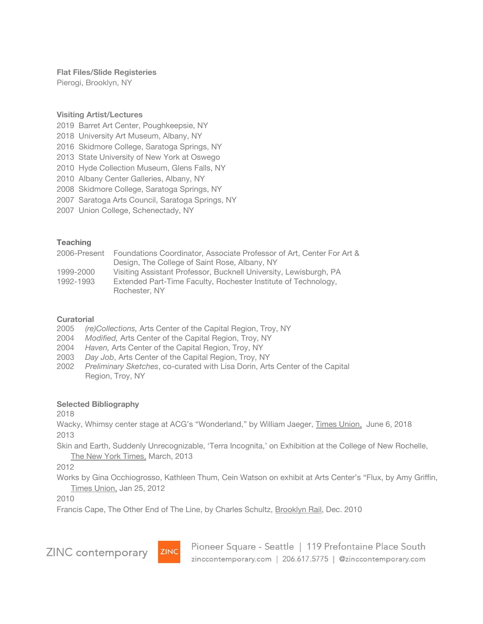**Flat Files/Slide Registeries**

Pierogi, Brooklyn, NY

#### **Visiting Artist/Lectures**

- 2019 Barret Art Center, Poughkeepsie, NY
- 2018 University Art Museum, Albany, NY
- 2016 Skidmore College, Saratoga Springs, NY
- 2013 State University of New York at Oswego
- 2010 Hyde Collection Museum, Glens Falls, NY
- 2010 Albany Center Galleries, Albany, NY
- 2008 Skidmore College, Saratoga Springs, NY
- 2007 Saratoga Arts Council, Saratoga Springs, NY
- 2007 Union College, Schenectady, NY

### **Teaching**

| 2006-Present | Foundations Coordinator, Associate Professor of Art, Center For Art & |
|--------------|-----------------------------------------------------------------------|
|              | Design, The College of Saint Rose, Albany, NY                         |
| 1999-2000    | Visiting Assistant Professor, Bucknell University, Lewisburgh, PA     |
| 1992-1993    | Extended Part-Time Faculty, Rochester Institute of Technology,        |
|              | Rochester, NY                                                         |

### **Curatorial**

- 2005 *(re)Collections,* Arts Center of the Capital Region, Troy, NY
- 2004 *Modified,* Arts Center of the Capital Region, Troy, NY
- 2004 *Haven,* Arts Center of the Capital Region, Troy, NY
- 2003 *Day Job*, Arts Center of the Capital Region, Troy, NY
- 2002 *Preliminary Sketches*, co-curated with Lisa Dorin, Arts Center of the Capital Region, Troy, NY

### **Selected Bibliography**

2018

Wacky, Whimsy center stage at ACG's "Wonderland," by William Jaeger, Times Union, June 6, 2018 2013

Skin and Earth, Suddenly Unrecognizable, 'Terra Incognita,' on Exhibition at the College of New Rochelle, The New York Times, March, 2013

2012

Works by Gina Occhiogrosso, Kathleen Thum, Cein Watson on exhibit at Arts Center's "Flux, by Amy Griffin, Times Union, Jan 25, 2012

2010

Francis Cape, The Other End of The Line, by Charles Schultz, Brooklyn Rail, Dec. 2010

**ZINC** contemporary



Pioneer Square - Seattle | 119 Prefontaine Place South zinccontemporary.com | 206.617.5775 | @zinccontemporary.com